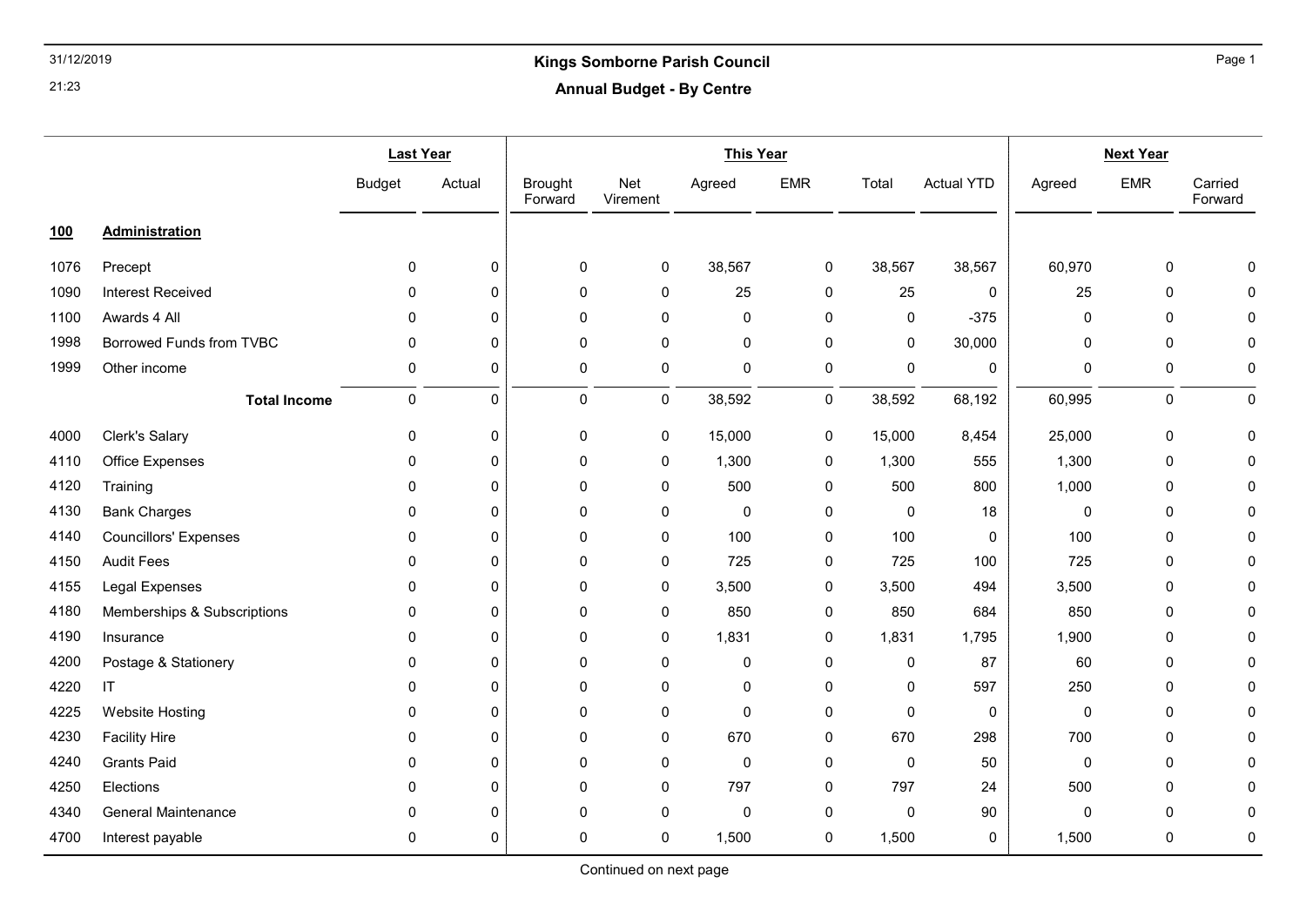# 31/12/2019 Kings Somborne Parish Council Annual Budget - By Centre

|            |                              | <b>Last Year</b> |        | <b>This Year</b>          |                 |          |             |             |                   | <b>Next Year</b> |             |                    |
|------------|------------------------------|------------------|--------|---------------------------|-----------------|----------|-------------|-------------|-------------------|------------------|-------------|--------------------|
|            |                              | <b>Budget</b>    | Actual | <b>Brought</b><br>Forward | Net<br>Virement | Agreed   | <b>EMR</b>  | Total       | <b>Actual YTD</b> | Agreed           | <b>EMR</b>  | Carried<br>Forward |
| <u>100</u> | Administration               |                  |        |                           |                 |          |             |             |                   |                  |             |                    |
| 1076       | Precept                      | $\mathbf 0$      | 0      | 0                         | 0               | 38,567   | 0           | 38,567      | 38,567            | 60,970           | 0           | $\Omega$           |
| 1090       | <b>Interest Received</b>     | $\mathbf{0}$     | 0      | 0                         | 0               | 25       | 0           | 25          | $\mathbf 0$       | 25               | $\mathbf 0$ | $\Omega$           |
| 1100       | Awards 4 All                 | $\mathbf 0$      | 0      | 0                         | 0               | 0        | 0           | 0           | $-375$            | 0                | $\pmb{0}$   | 0                  |
| 1998       | Borrowed Funds from TVBC     | 0                | 0      | 0                         | 0               | 0        | 0           | 0           | 30,000            | 0                | $\mathbf 0$ | $\Omega$           |
| 1999       | Other income                 | 0                | 0      | $\mathbf 0$               | 0               | 0        | 0           | 0           | 0                 | 0                | $\mathbf 0$ | 0                  |
|            | <b>Total Income</b>          | $\pmb{0}$        | 0      | 0                         | 0               | 38,592   | 0           | 38,592      | 68,192            | 60,995           | $\pmb{0}$   | 0                  |
| 4000       | Clerk's Salary               | 0                | 0      | 0                         | 0               | 15,000   | $\pmb{0}$   | 15,000      | 8,454             | 25,000           | $\pmb{0}$   | $\mathbf 0$        |
| 4110       | <b>Office Expenses</b>       | $\mathbf 0$      | 0      | 0                         | 0               | 1,300    | 0           | 1,300       | 555               | 1,300            | $\pmb{0}$   | 0                  |
| 4120       | Training                     | $\mathbf{0}$     | 0      | 0                         | 0               | 500      | 0           | 500         | 800               | 1,000            | 0           | $\Omega$           |
| 4130       | <b>Bank Charges</b>          | $\mathbf{0}$     | 0      | 0                         | 0               | 0        | 0           | $\mathbf 0$ | 18                | 0                | $\mathbf 0$ | $\Omega$           |
| 4140       | <b>Councillors' Expenses</b> | $\mathbf{0}$     | 0      | 0                         | 0               | 100      | 0           | 100         | $\mathbf 0$       | 100              | $\pmb{0}$   | $\Omega$           |
| 4150       | <b>Audit Fees</b>            | 0                | 0      | 0                         | 0               | 725      | 0           | 725         | 100               | 725              | $\pmb{0}$   | $\Omega$           |
| 4155       | Legal Expenses               | $\mathbf 0$      | 0      | 0                         | 0               | 3,500    | 0           | 3,500       | 494               | 3,500            | 0           | 0                  |
| 4180       | Memberships & Subscriptions  | $\mathbf 0$      | 0      | 0                         | 0               | 850      | 0           | 850         | 684               | 850              | 0           | $\Omega$           |
| 4190       | Insurance                    | $\mathbf{0}$     | 0      | 0                         | 0               | 1,831    | 0           | 1,831       | 1,795             | 1,900            | $\pmb{0}$   | $\Omega$           |
| 4200       | Postage & Stationery         | $\mathbf 0$      | 0      | 0                         | 0               | 0        | 0           | 0           | 87                | 60               | $\pmb{0}$   | $\Omega$           |
| 4220       | IT                           | 0                | 0      | 0                         | 0               | 0        | 0           | 0           | 597               | 250              | 0           | O                  |
| 4225       | Website Hosting              | $\mathbf{0}$     | 0      | 0                         | 0               | $\Omega$ | 0           | $\mathbf 0$ | $\mathbf 0$       | $\Omega$         | $\mathbf 0$ | $\Omega$           |
| 4230       | <b>Facility Hire</b>         | $\mathbf 0$      | 0      | 0                         | 0               | 670      | 0           | 670         | 298               | 700              | $\pmb{0}$   | 0                  |
| 4240       | <b>Grants Paid</b>           | $\mathbf{0}$     | 0      | 0                         | 0               | 0        | 0           | $\mathbf 0$ | 50                | 0                | $\mathbf 0$ | $\Omega$           |
| 4250       | Elections                    | $\mathbf{0}$     | 0      | 0                         | 0               | 797      | 0           | 797         | 24                | 500              | $\mathbf 0$ | 0                  |
| 4340       | <b>General Maintenance</b>   | 0                | 0      | 0                         | 0               | 0        | 0           | $\mathbf 0$ | 90                | 0                | $\mathbf 0$ | $\Omega$           |
| 4700       | Interest payable             | 0                | 0      | 0                         | 0               | 1,500    | $\mathbf 0$ | 1,500       | 0                 | 1,500            | $\pmb{0}$   | 0                  |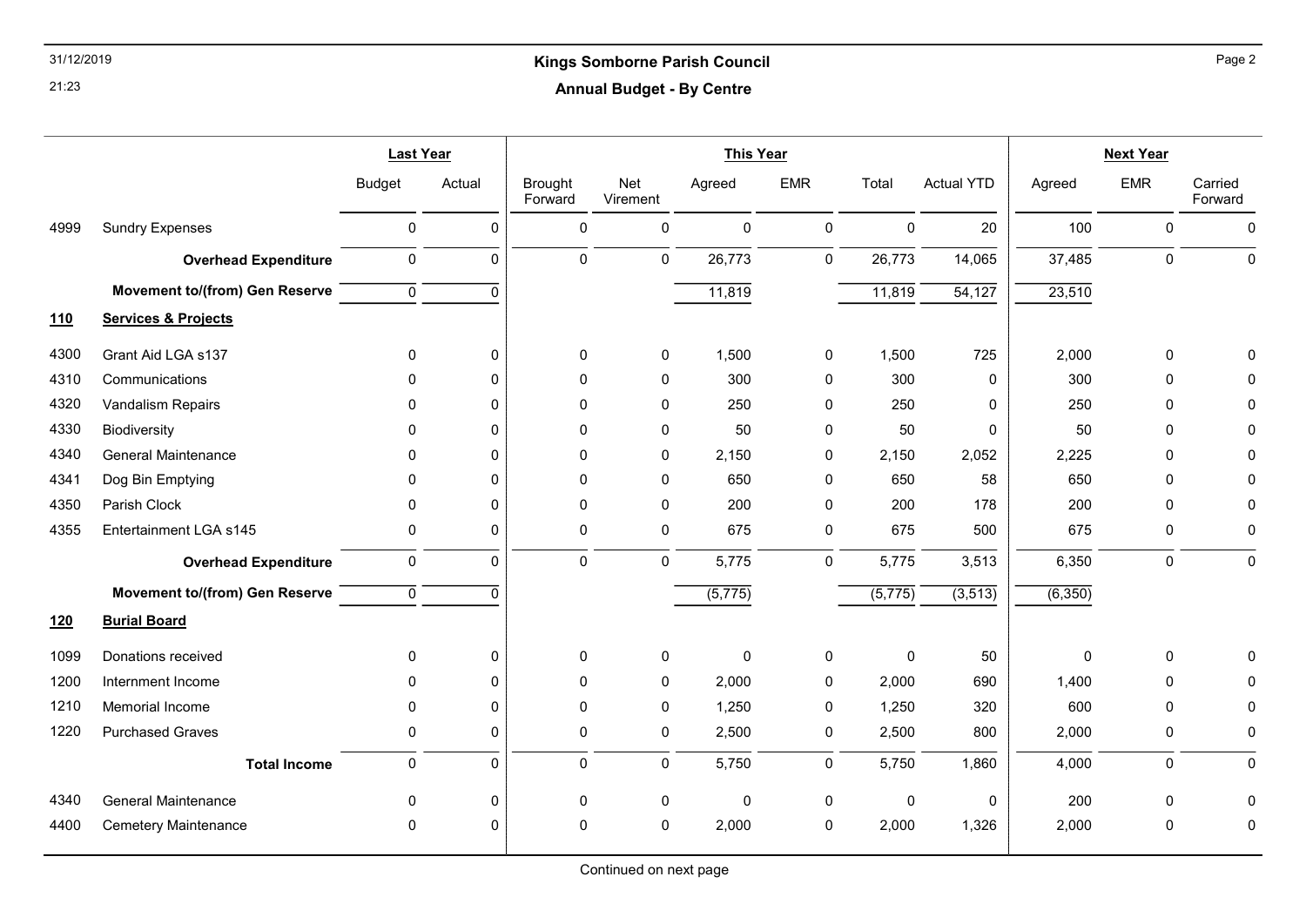## 31/12/2019 Kings Somborne Parish Council Annual Budget - By Centre

|            |                                       | <b>Last Year</b> |              | <b>This Year</b>          |                 |             |             |                      | <b>Next Year</b>    |         |            |                    |
|------------|---------------------------------------|------------------|--------------|---------------------------|-----------------|-------------|-------------|----------------------|---------------------|---------|------------|--------------------|
|            |                                       | <b>Budget</b>    | Actual       | <b>Brought</b><br>Forward | Net<br>Virement | Agreed      | <b>EMR</b>  | Total                | <b>Actual YTD</b>   | Agreed  | <b>EMR</b> | Carried<br>Forward |
| 4999       | <b>Sundry Expenses</b>                | 0                | 0            | 0                         | 0               | $\mathbf 0$ | 0           | $\mathbf 0$          | 20                  | 100     | 0          | 0                  |
|            | <b>Overhead Expenditure</b>           | $\mathbf 0$      | 0            | $\Omega$                  | 0               | 26,773      | $\mathbf 0$ | 26,773               | 14,065              | 37,485  | 0          | $\pmb{0}$          |
|            | <b>Movement to/(from) Gen Reserve</b> | $\mathsf 0$      | 0            |                           |                 | 11,819      |             | 11,819               | $\overline{54,127}$ | 23,510  |            |                    |
| <u>110</u> | <b>Services &amp; Projects</b>        |                  |              |                           |                 |             |             |                      |                     |         |            |                    |
| 4300       | Grant Aid LGA s137                    | $\mathbf 0$      | 0            | 0                         | 0               | 1,500       | 0           | 1,500                | 725                 | 2,000   | 0          | O                  |
| 4310       | Communications                        | 0                | $\mathbf{0}$ | 0                         | 0               | 300         | 0           | 300                  | 0                   | 300     | 0          | $\Omega$           |
| 4320       | <b>Vandalism Repairs</b>              | $\mathbf{0}$     | $\Omega$     | 0                         | 0               | 250         | 0           | 250                  | $\mathbf 0$         | 250     | 0          | $\Omega$           |
| 4330       | <b>Biodiversity</b>                   | $\Omega$         | $\Omega$     | 0                         | 0               | 50          | 0           | 50                   | $\mathbf 0$         | 50      | $\Omega$   | 0                  |
| 4340       | <b>General Maintenance</b>            | 0                | $\Omega$     | 0                         | 0               | 2,150       | 0           | 2,150                | 2,052               | 2,225   | 0          | 0                  |
| 4341       | Dog Bin Emptying                      | 0                | $\Omega$     | 0                         | 0               | 650         | 0           | 650                  | 58                  | 650     | 0          | $\Omega$           |
| 4350       | Parish Clock                          | $\mathbf{0}$     | $\Omega$     | 0                         | 0               | 200         | 0           | 200                  | 178                 | 200     | $\Omega$   | 0                  |
| 4355       | Entertainment LGA s145                | 0                | 0            | 0                         | 0               | 675         | $\pmb{0}$   | 675                  | 500                 | 675     | 0          | 0                  |
|            | <b>Overhead Expenditure</b>           | 0                | 0            | 0                         | 0               | 5,775       | 0           | 5,775                | 3,513               | 6,350   | 0          | 0                  |
|            | <b>Movement to/(from) Gen Reserve</b> | $\overline{0}$   | $\Omega$     |                           |                 | (5, 775)    |             | $\overline{(5,775)}$ | (3, 513)            | (6,350) |            |                    |
| <u>120</u> | <b>Burial Board</b>                   |                  |              |                           |                 |             |             |                      |                     |         |            |                    |
| 1099       | Donations received                    | 0                | 0            | 0                         | 0               | 0           | 0           | $\mathbf 0$          | 50                  | 0       | 0          | $\Omega$           |
| 1200       | Internment Income                     | 0                | 0            | 0                         | 0               | 2,000       | 0           | 2,000                | 690                 | 1,400   | 0          | 0                  |
| 1210       | Memorial Income                       | $\mathbf{0}$     | $\Omega$     | 0                         | 0               | 1,250       | 0           | 1,250                | 320                 | 600     | $\Omega$   | $\mathbf 0$        |
| 1220       | <b>Purchased Graves</b>               | 0                | $\Omega$     | 0                         | 0               | 2,500       | 0           | 2,500                | 800                 | 2,000   | 0          | 0                  |
|            | <b>Total Income</b>                   | $\mathbf 0$      | 0            | 0                         | 0               | 5,750       | 0           | 5,750                | 1,860               | 4,000   | 0          | 0                  |
| 4340       | <b>General Maintenance</b>            | 0                | 0            | 0                         | 0               | $\pmb{0}$   | $\pmb{0}$   | $\mathbf 0$          | 0                   | 200     | 0          | 0                  |
| 4400       | <b>Cemetery Maintenance</b>           | 0                | $\Omega$     | 0                         | 0               | 2,000       | 0           | 2,000                | 1,326               | 2,000   | 0          | 0                  |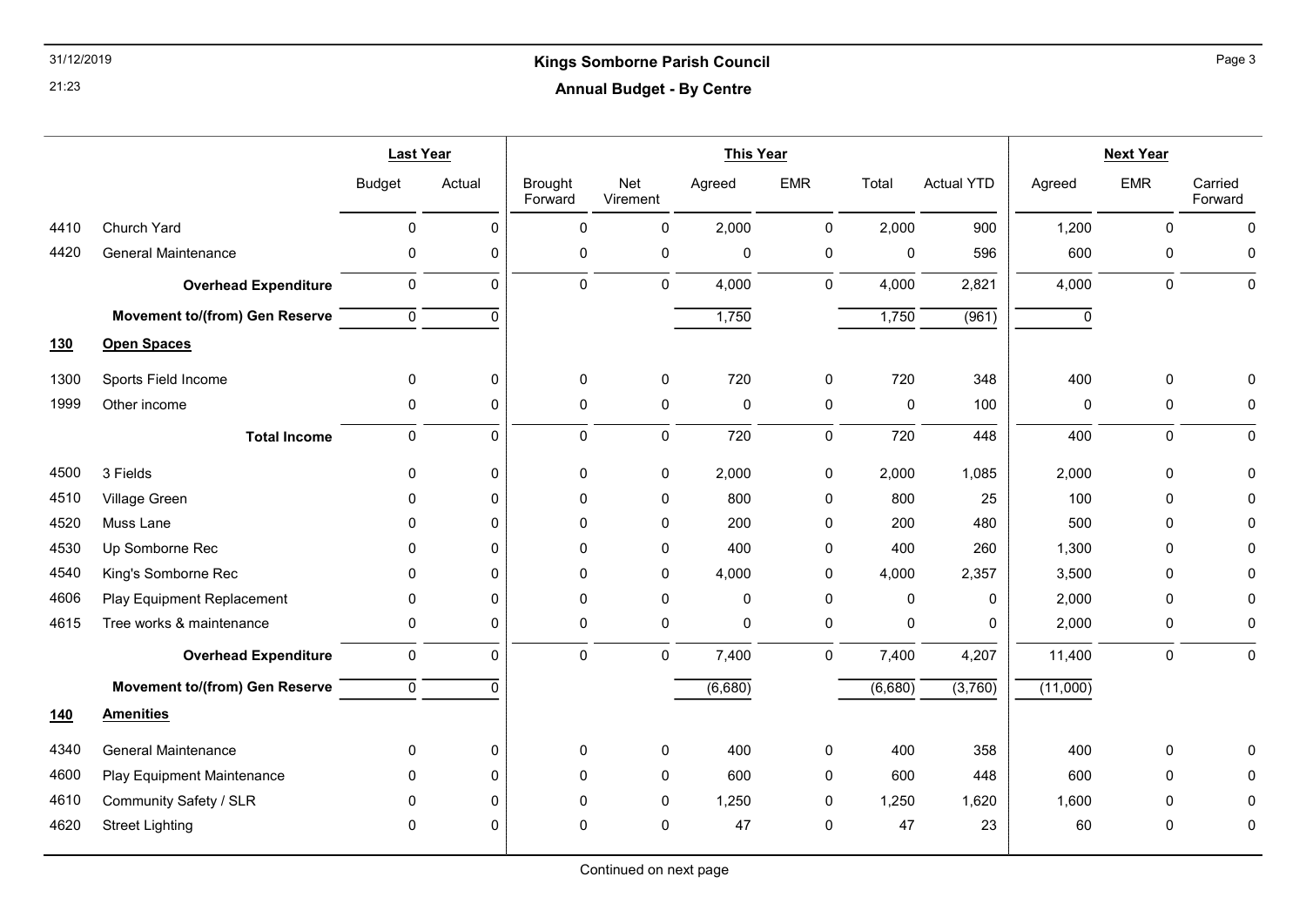## 31/12/2019 Kings Somborne Parish Council Annual Budget - By Centre

|            |                                       | <b>Last Year</b> |             | <b>This Year</b>          |                 |             |              |             | <b>Next Year</b>  |          |              |                    |
|------------|---------------------------------------|------------------|-------------|---------------------------|-----------------|-------------|--------------|-------------|-------------------|----------|--------------|--------------------|
|            |                                       | <b>Budget</b>    | Actual      | <b>Brought</b><br>Forward | Net<br>Virement | Agreed      | <b>EMR</b>   | Total       | <b>Actual YTD</b> | Agreed   | <b>EMR</b>   | Carried<br>Forward |
| 4410       | Church Yard                           | 0                | $\Omega$    | $\Omega$                  | 0               | 2,000       | $\mathsf 0$  | 2,000       | 900               | 1,200    | $\mathbf 0$  | $\mathbf 0$        |
| 4420       | <b>General Maintenance</b>            | 0                | 0           | 0                         | 0               | $\mathbf 0$ | $\pmb{0}$    | 0           | 596               | 600      | $\mathbf 0$  | 0                  |
|            | <b>Overhead Expenditure</b>           | $\pmb{0}$        | $\mathbf 0$ | 0                         | 0               | 4,000       | $\mathbf 0$  | 4,000       | 2,821             | 4,000    | $\mathsf{O}$ | 0                  |
|            | <b>Movement to/(from) Gen Reserve</b> | $\mathbf 0$      | $\Omega$    |                           |                 | 1,750       |              | 1,750       | (961)             | 0        |              |                    |
| <u>130</u> | <b>Open Spaces</b>                    |                  |             |                           |                 |             |              |             |                   |          |              |                    |
| 1300       | Sports Field Income                   | 0                | 0           | 0                         | 0               | 720         | 0            | 720         | 348               | 400      | $\mathbf 0$  | $\Omega$           |
| 1999       | Other income                          | 0                | $\Omega$    | 0                         | 0               | $\pmb{0}$   | $\pmb{0}$    | $\pmb{0}$   | 100               | 0        | $\mathbf 0$  | $\mathbf 0$        |
|            | <b>Total Income</b>                   | 0                | $\mathbf 0$ | 0                         | 0               | 720         | $\mathbf 0$  | 720         | 448               | 400      | $\pmb{0}$    | $\mathbf 0$        |
| 4500       | 3 Fields                              | $\mathbf 0$      | $\Omega$    | 0                         | 0               | 2,000       | 0            | 2,000       | 1,085             | 2,000    | $\mathbf 0$  | $\Omega$           |
| 4510       | Village Green                         | $\mathbf{0}$     | $\Omega$    | 0                         | 0               | 800         | 0            | 800         | 25                | 100      | $\mathbf 0$  | $\Omega$           |
| 4520       | Muss Lane                             | $\Omega$         | $\Omega$    | 0                         | 0               | 200         | $\mathbf 0$  | 200         | 480               | 500      | 0            | $\Omega$           |
| 4530       | Up Somborne Rec                       | 0                | $\Omega$    | 0                         | 0               | 400         | 0            | 400         | 260               | 1,300    | 0            | O                  |
| 4540       | King's Somborne Rec                   | 0                | $\Omega$    | $\Omega$                  | 0               | 4,000       | 0            | 4,000       | 2,357             | 3,500    | $\Omega$     | ∩                  |
| 4606       | Play Equipment Replacement            | 0                | $\Omega$    | 0                         | 0               | $\mathbf 0$ | $\mathbf 0$  | $\mathbf 0$ | $\mathbf 0$       | 2,000    | $\mathbf 0$  | $\Omega$           |
| 4615       | Tree works & maintenance              | 0                | $\Omega$    | 0                         | 0               | $\mathbf 0$ | $\pmb{0}$    | $\mathbf 0$ | $\mathbf 0$       | 2,000    | $\mathbf 0$  | $\mathbf 0$        |
|            | <b>Overhead Expenditure</b>           | $\mathbf 0$      | $\mathbf 0$ | 0                         | 0               | 7,400       | 0            | 7,400       | 4,207             | 11,400   | $\mathbf 0$  | $\pmb{0}$          |
|            | <b>Movement to/(from) Gen Reserve</b> | $\overline{0}$   | $\Omega$    |                           |                 | (6,680)     |              | (6,680)     | (3,760)           | (11,000) |              |                    |
| <u>140</u> | <b>Amenities</b>                      |                  |             |                           |                 |             |              |             |                   |          |              |                    |
| 4340       | <b>General Maintenance</b>            | $\mathbf 0$      | $\Omega$    | 0                         | 0               | 400         | $\mathbf{0}$ | 400         | 358               | 400      | $\mathbf 0$  | $\Omega$           |
| 4600       | Play Equipment Maintenance            | 0                | $\Omega$    | 0                         | 0               | 600         | 0            | 600         | 448               | 600      | $\mathbf 0$  | ∩                  |
| 4610       | Community Safety / SLR                | $\mathbf{0}$     | $\Omega$    | 0                         | 0               | 1,250       | $\mathbf 0$  | 1,250       | 1,620             | 1,600    | 0            | $\Omega$           |
| 4620       | <b>Street Lighting</b>                | 0                | $\Omega$    | 0                         | 0               | 47          | 0            | 47          | 23                | 60       | 0            | 0                  |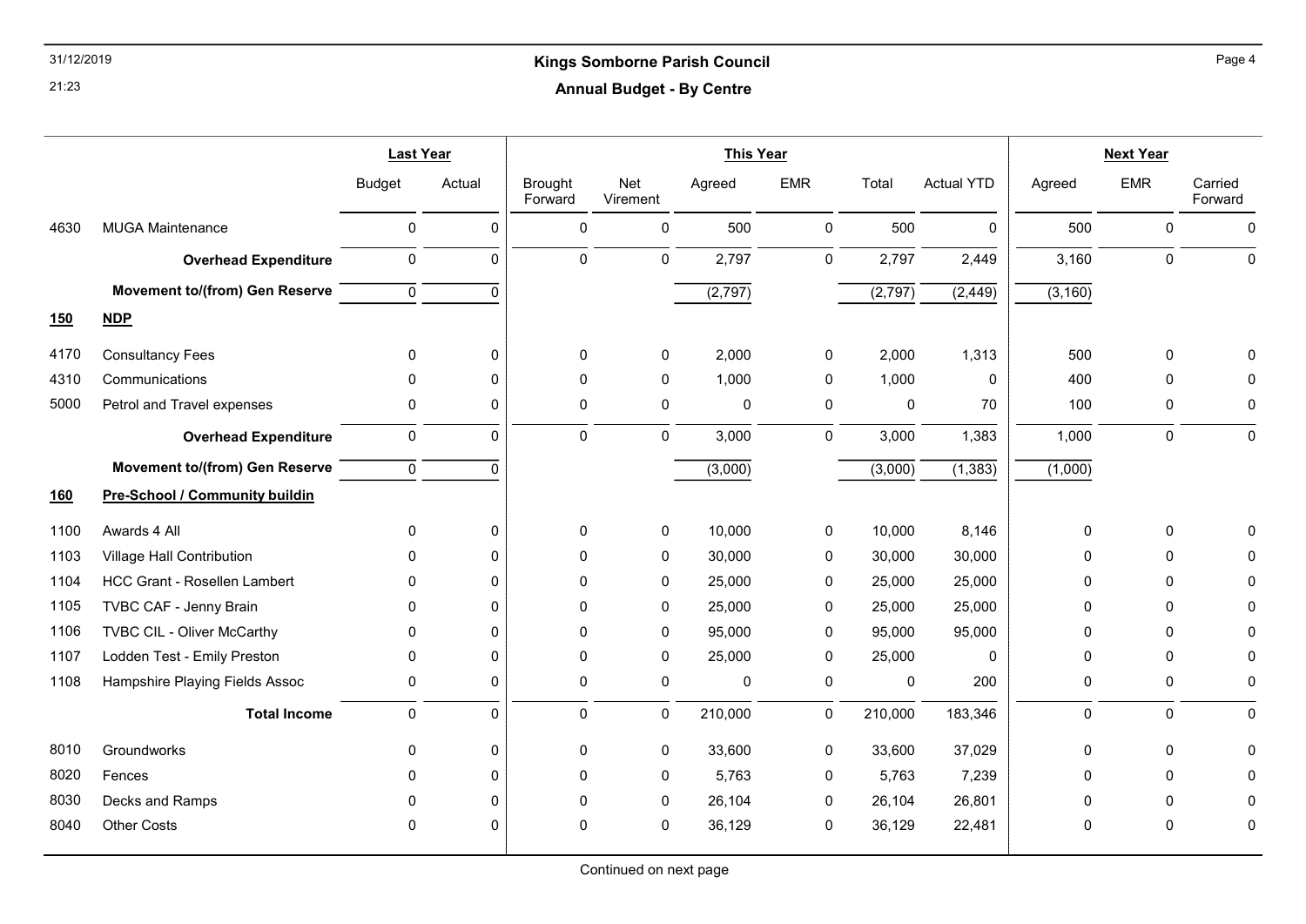## 31/12/2019 Kings Somborne Parish Council Annual Budget - By Centre

|            |                                       | <b>Last Year</b> |             | <b>This Year</b>          |                 |          |            |         | <b>Next Year</b>  |              |              |                    |
|------------|---------------------------------------|------------------|-------------|---------------------------|-----------------|----------|------------|---------|-------------------|--------------|--------------|--------------------|
|            |                                       | <b>Budget</b>    | Actual      | <b>Brought</b><br>Forward | Net<br>Virement | Agreed   | <b>EMR</b> | Total   | <b>Actual YTD</b> | Agreed       | <b>EMR</b>   | Carried<br>Forward |
| 4630       | <b>MUGA Maintenance</b>               | $\mathbf 0$      | $\Omega$    | $\Omega$                  | $\mathbf{0}$    | 500      | 0          | 500     | $\Omega$          | 500          | $\mathbf{0}$ | $\mathbf{0}$       |
|            | <b>Overhead Expenditure</b>           | $\mathsf 0$      | 0           | 0                         | 0               | 2,797    | 0          | 2,797   | 2,449             | 3,160        | $\mathbf 0$  | $\mathbf 0$        |
|            | <b>Movement to/(from) Gen Reserve</b> | $\overline{0}$   | $\mathbf 0$ |                           |                 | (2, 797) |            | (2,797) | (2, 449)          | (3, 160)     |              |                    |
| 150        | <b>NDP</b>                            |                  |             |                           |                 |          |            |         |                   |              |              |                    |
| 4170       | <b>Consultancy Fees</b>               | 0                | 0           | 0                         | 0               | 2,000    | 0          | 2,000   | 1,313             | 500          | $\mathbf 0$  | U                  |
| 4310       | Communications                        | 0                | $\Omega$    | 0                         | 0               | 1,000    | 0          | 1,000   | 0                 | 400          | $\mathbf{0}$ | 0                  |
| 5000       | Petrol and Travel expenses            | 0                | 0           | 0                         | 0               | 0        | 0          | 0       | 70                | 100          | $\mathbf 0$  | 0                  |
|            | <b>Overhead Expenditure</b>           | $\pmb{0}$        | $\mathbf 0$ | 0                         | 0               | 3,000    | 0          | 3,000   | 1,383             | 1,000        | $\mathbf 0$  | $\mathbf 0$        |
|            | <b>Movement to/(from) Gen Reserve</b> | $\mathsf 0$      | $\Omega$    |                           |                 | (3,000)  |            | (3,000) | (1, 383)          | (1,000)      |              |                    |
| <u>160</u> | Pre-School / Community buildin        |                  |             |                           |                 |          |            |         |                   |              |              |                    |
| 1100       | Awards 4 All                          | $\mathbf 0$      | 0           | $\mathbf 0$               | 0               | 10,000   | 0          | 10,000  | 8,146             | $\mathbf{0}$ | 0            | 0                  |
| 1103       | Village Hall Contribution             | $\mathbf{0}$     | $\Omega$    | 0                         | 0               | 30,000   | 0          | 30,000  | 30,000            | $\mathbf 0$  | $\mathbf{0}$ | 0                  |
| 1104       | <b>HCC Grant - Rosellen Lambert</b>   | 0                | 0           | 0                         | 0               | 25,000   | 0          | 25,000  | 25,000            | 0            | 0            | 0                  |
| 1105       | TVBC CAF - Jenny Brain                | $\mathbf{0}$     | 0           | 0                         | 0               | 25,000   | 0          | 25,000  | 25,000            | 0            | 0            | 0                  |
| 1106       | TVBC CIL - Oliver McCarthy            | 0                | $\Omega$    | $\Omega$                  | 0               | 95,000   | 0          | 95,000  | 95,000            | $\mathbf{0}$ | $\Omega$     | 0                  |
| 1107       | Lodden Test - Emily Preston           | 0                | $\Omega$    | 0                         | 0               | 25,000   | 0          | 25,000  | 0                 | $\mathbf 0$  | $\Omega$     | $\Omega$           |
| 1108       | Hampshire Playing Fields Assoc        | 0                | 0           | 0                         | 0               | 0        | 0          | 0       | 200               | 0            | 0            | 0                  |
|            | <b>Total Income</b>                   | $\mathsf 0$      | $\mathbf 0$ | 0                         | 0               | 210,000  | 0          | 210,000 | 183,346           | $\mathbf 0$  | $\mathbf 0$  | $\mathbf 0$        |
| 8010       | Groundworks                           | $\mathbf 0$      | 0           | 0                         | 0               | 33,600   | 0          | 33,600  | 37,029            | $\mathbf 0$  | 0            | $\Omega$           |
| 8020       | Fences                                | 0                | 0           | 0                         | 0               | 5,763    | 0          | 5,763   | 7,239             | $\mathbf 0$  | $\mathbf 0$  | 0                  |
| 8030       | Decks and Ramps                       | $\mathbf{0}$     | $\Omega$    | 0                         | 0               | 26,104   | 0          | 26,104  | 26,801            | $\mathbf{0}$ | 0            | 0                  |
| 8040       | <b>Other Costs</b>                    | $\mathbf 0$      | $\Omega$    | 0                         | 0               | 36,129   | 0          | 36,129  | 22,481            | $\mathbf{0}$ | 0            | 0                  |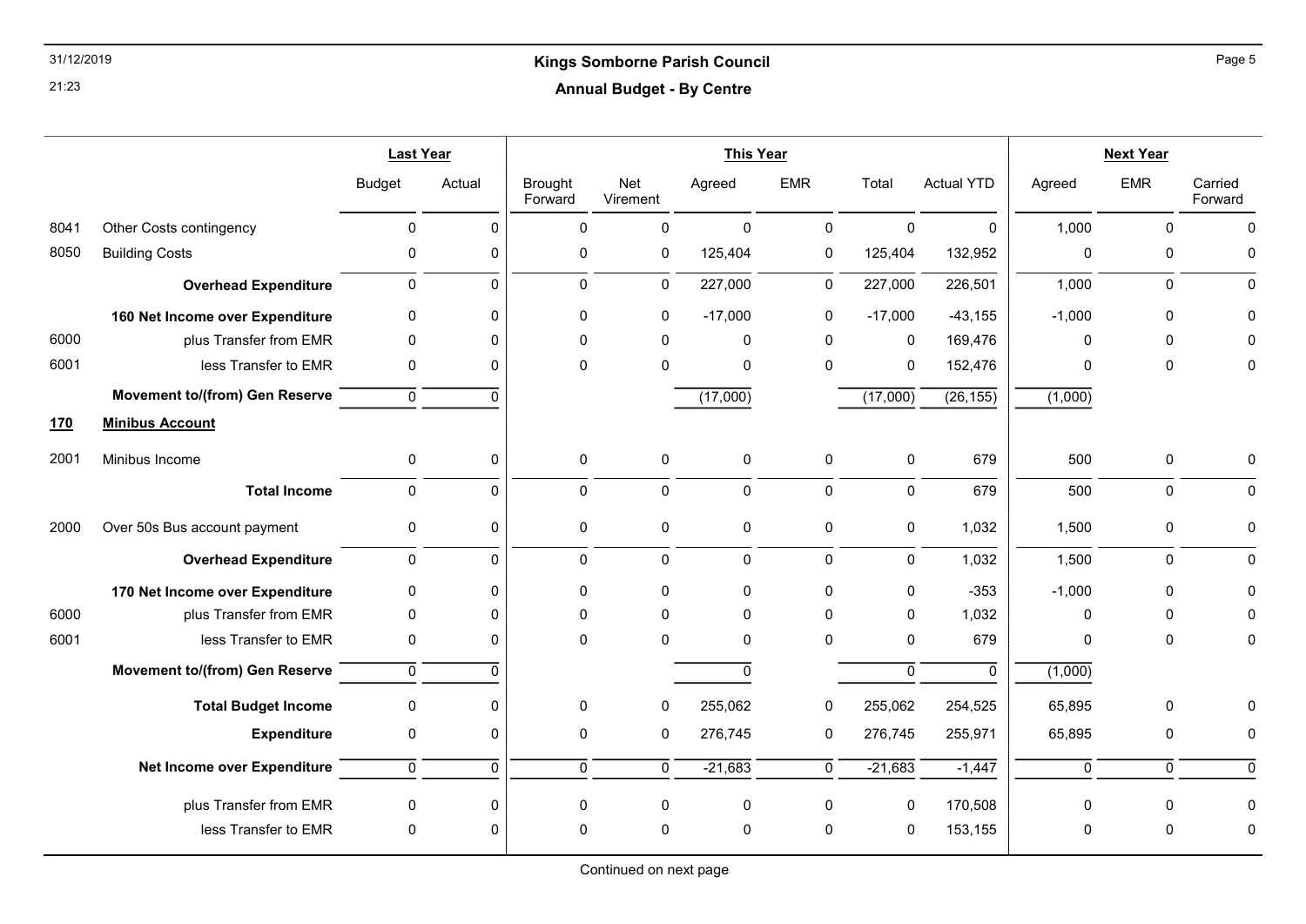## 31/12/2019 Kings Somborne Parish Council Annual Budget - By Centre

|            |                                       | <b>Last Year</b>    |              | <b>This Year</b>          |                 |              |                |             |                   | <b>Next Year</b> |                |                    |
|------------|---------------------------------------|---------------------|--------------|---------------------------|-----------------|--------------|----------------|-------------|-------------------|------------------|----------------|--------------------|
|            |                                       | <b>Budget</b>       | Actual       | <b>Brought</b><br>Forward | Net<br>Virement | Agreed       | <b>EMR</b>     | Total       | <b>Actual YTD</b> | Agreed           | <b>EMR</b>     | Carried<br>Forward |
| 8041       | Other Costs contingency               | $\mathbf 0$         | $\Omega$     | $\mathbf{0}$              | $\mathbf 0$     | $\mathbf{0}$ | $\mathbf 0$    | $\Omega$    | $\mathbf 0$       | 1,000            | $\mathbf{0}$   | $\Omega$           |
| 8050       | <b>Building Costs</b>                 | 0                   | 0            | 0                         | 0               | 125,404      | $\pmb{0}$      | 125,404     | 132,952           | $\pmb{0}$        | $\pmb{0}$      | 0                  |
|            | <b>Overhead Expenditure</b>           | 0                   | $\Omega$     | 0                         | $\mathbf 0$     | 227,000      | 0              | 227,000     | 226,501           | 1,000            | 0              | $\Omega$           |
|            | 160 Net Income over Expenditure       | 0                   | 0            | 0                         | 0               | $-17,000$    | 0              | $-17,000$   | $-43,155$         | $-1,000$         | $\pmb{0}$      |                    |
| 6000       | plus Transfer from EMR                | 0                   | $\Omega$     | 0                         | $\Omega$        | $\mathbf 0$  | 0              | $\mathbf 0$ | 169,476           | 0                | 0              |                    |
| 6001       | less Transfer to EMR                  | 0                   | $\Omega$     | $\mathbf{0}$              | $\Omega$        | $\mathbf 0$  | $\mathbf{0}$   | 0           | 152,476           | $\Omega$         | $\mathbf 0$    | 0                  |
|            | <b>Movement to/(from) Gen Reserve</b> | $\mathbf 0$         | $\Omega$     |                           |                 | (17,000)     |                | (17,000)    | (26, 155)         | (1,000)          |                |                    |
| <u>170</u> | <b>Minibus Account</b>                |                     |              |                           |                 |              |                |             |                   |                  |                |                    |
| 2001       | Minibus Income                        | 0                   | $\Omega$     | 0                         | 0               | $\mathbf 0$  | 0              | 0           | 679               | 500              | 0              | 0                  |
|            | <b>Total Income</b>                   | $\pmb{0}$           | 0            | 0                         | $\mathbf 0$     | $\pmb{0}$    | $\pmb{0}$      | $\mathbf 0$ | 679               | 500              | $\pmb{0}$      | $\mathbf 0$        |
| 2000       | Over 50s Bus account payment          | $\pmb{0}$           | 0            | 0                         | $\pmb{0}$       | $\pmb{0}$    | $\pmb{0}$      | $\mathbf 0$ | 1,032             | 1,500            | $\pmb{0}$      | $\pmb{0}$          |
|            | <b>Overhead Expenditure</b>           | 0                   | $\Omega$     | 0                         | $\mathbf 0$     | $\mathbf 0$  | $\mathbf 0$    | $\mathbf 0$ | 1,032             | 1,500            | $\pmb{0}$      | $\Omega$           |
|            | 170 Net Income over Expenditure       | 0                   | $\Omega$     | 0                         | 0               | $\mathbf 0$  | 0              | 0           | $-353$            | $-1,000$         | 0              |                    |
| 6000       | plus Transfer from EMR                | 0                   | $\Omega$     | 0                         | $\Omega$        | $\mathbf 0$  | $\Omega$       | $\Omega$    | 1,032             | 0                | $\mathbf 0$    |                    |
| 6001       | less Transfer to EMR                  | 0                   | $\Omega$     | 0                         | $\Omega$        | $\pmb{0}$    | 0              | 0           | 679               | 0                | $\pmb{0}$      | 0                  |
|            | <b>Movement to/(from) Gen Reserve</b> | 0                   | $\Omega$     |                           |                 | $\mathbf 0$  |                | $\mathbf 0$ | $\mathbf{0}$      | (1,000)          |                |                    |
|            | <b>Total Budget Income</b>            | $\mathsf{O}\xspace$ | $\Omega$     | 0                         | 0               | 255,062      | 0              | 255,062     | 254,525           | 65,895           | $\pmb{0}$      |                    |
|            | <b>Expenditure</b>                    | 0                   | $\mathbf 0$  | 0                         | 0               | 276,745      | 0              | 276,745     | 255,971           | 65,895           | $\pmb{0}$      | 0                  |
|            | Net Income over Expenditure           | $\mathbf 0$         | $\mathbf{0}$ | 0                         | $\mathbf 0$     | $-21,683$    | $\overline{0}$ | $-21,683$   | $-1,447$          | $\mathbf 0$      | $\overline{0}$ | $\Omega$           |
|            | plus Transfer from EMR                | 0                   | 0            | 0                         | 0               | $\pmb{0}$    | 0              | 0           | 170,508           | 0                | 0              | 0                  |
|            | less Transfer to EMR                  | 0                   | $\Omega$     | 0                         | 0               | $\pmb{0}$    | 0              | 0           | 153,155           | 0                | $\pmb{0}$      | 0                  |